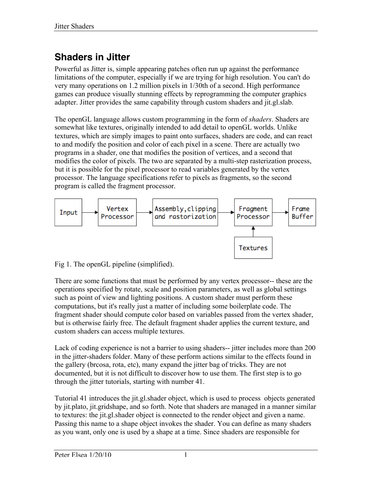# **Shaders in Jitter**

Powerful as Jitter is, simple appearing patches often run up against the performance limitations of the computer, especially if we are trying for high resolution. You can't do very many operations on 1.2 million pixels in 1/30th of a second. High performance games can produce visually stunning effects by reprogramming the computer graphics adapter. Jitter provides the same capability through custom shaders and jit.gl.slab.

The openGL language allows custom programming in the form of *shaders*. Shaders are somewhat like textures, originally intended to add detail to openGL worlds. Unlike textures, which are simply images to paint onto surfaces, shaders are code, and can react to and modify the position and color of each pixel in a scene. There are actually two programs in a shader, one that modifies the position of vertices, and a second that modifies the color of pixels. The two are separated by a multi-step rasterization process, but it is possible for the pixel processor to read variables generated by the vertex processor. The language specifications refer to pixels as fragments, so the second program is called the fragment processor.



Fig 1. The openGL pipeline (simplified).

There are some functions that must be performed by any vertex processor-- these are the operations specified by rotate, scale and position parameters, as well as global settings such as point of view and lighting positions. A custom shader must perform these computations, but it's really just a matter of including some boilerplate code. The fragment shader should compute color based on variables passed from the vertex shader, but is otherwise fairly free. The default fragment shader applies the current texture, and custom shaders can access multiple textures.

Lack of coding experience is not a barrier to using shaders-- jitter includes more than 200 in the jitter-shaders folder. Many of these perform actions similar to the effects found in the gallery (brcosa, rota, etc), many expand the jitter bag of tricks. They are not documented, but it is not difficult to discover how to use them. The first step is to go through the jitter tutorials, starting with number 41.

Tutorial 41 introduces the jit.gl.shader object, which is used to process objects generated by jit.plato, jit.gridshape, and so forth. Note that shaders are managed in a manner similar to textures: the jit.gl.shader object is connected to the render object and given a name. Passing this name to a shape object invokes the shader. You can define as many shaders as you want, only one is used by a shape at a time. Since shaders are responsible for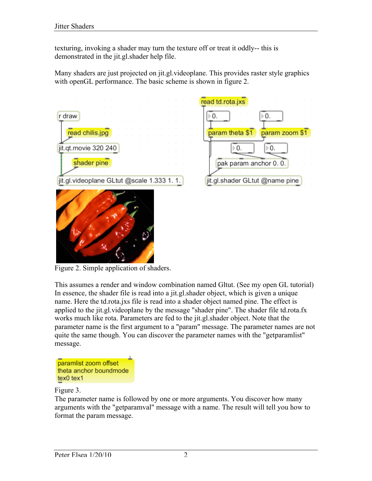texturing, invoking a shader may turn the texture off or treat it oddly-- this is demonstrated in the jit.gl.shader help file.

Many shaders are just projected on jit.gl.videoplane. This provides raster style graphics with openGL performance. The basic scheme is shown in figure 2.



Figure 2. Simple application of shaders.

This assumes a render and window combination named Gltut. (See my open GL tutorial) In essence, the shader file is read into a jit.gl.shader object, which is given a unique name. Here the td.rota.jxs file is read into a shader object named pine. The effect is applied to the jit.gl.videoplane by the message "shader pine". The shader file td.rota.fx works much like rota. Parameters are fed to the jit.gl.shader object. Note that the parameter name is the first argument to a "param" message. The parameter names are not quite the same though. You can discover the parameter names with the "getparamlist" message.



#### Figure 3.

The parameter name is followed by one or more arguments. You discover how many arguments with the "getparamval" message with a name. The result will tell you how to format the param message.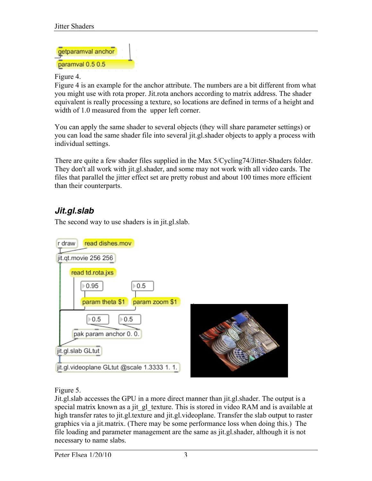

Figure 4.

Figure 4 is an example for the anchor attribute. The numbers are a bit different from what you might use with rota proper. Jit.rota anchors according to matrix address. The shader equivalent is really processing a texture, so locations are defined in terms of a height and width of 1.0 measured from the upper left corner.

You can apply the same shader to several objects (they will share parameter settings) or you can load the same shader file into several jit.gl.shader objects to apply a process with individual settings.

There are quite a few shader files supplied in the Max 5/Cycling74/Jitter-Shaders folder. They don't all work with jit.gl.shader, and some may not work with all video cards. The files that parallel the jitter effect set are pretty robust and about 100 times more efficient than their counterparts.

# *Jit.gl.slab*

The second way to use shaders is in jit.gl.slab.



Figure 5.

Jit.gl.slab accesses the GPU in a more direct manner than jit.gl.shader. The output is a special matrix known as a jit gl texture. This is stored in video RAM and is available at high transfer rates to jit.gl.texture and jit.gl.videoplane. Transfer the slab output to raster graphics via a jit.matrix. (There may be some performance loss when doing this.) The file loading and parameter management are the same as jit.gl.shader, although it is not necessary to name slabs.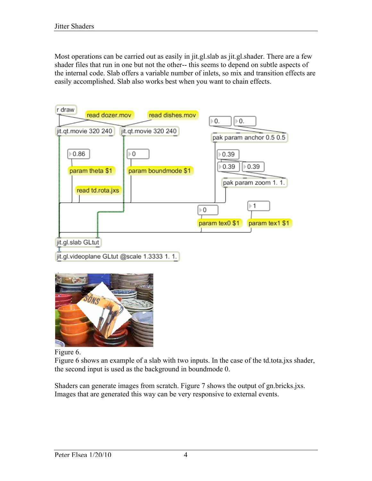Most operations can be carried out as easily in jit.gl.slab as jit.gl.shader. There are a few shader files that run in one but not the other-- this seems to depend on subtle aspects of the internal code. Slab offers a variable number of inlets, so mix and transition effects are easily accomplished. Slab also works best when you want to chain effects.

| r draw<br>read dozer.mov                    | read dishes.mov      | 10.<br>0.                        |
|---------------------------------------------|----------------------|----------------------------------|
| jit.qt.movie 320 240                        | jit.qt.movie 320 240 | pak param anchor 0.5 0.5         |
| 10.86                                       | $\triangleright$ 0   | 0.39                             |
| param theta \$1                             | param boundmode \$1  | 0.39<br>0.39                     |
| read td.rota.jxs                            |                      | pak param zoom 1.1.              |
|                                             |                      | $\geq 1$<br>D-0                  |
|                                             |                      | param tex0 \$1<br>param tex1 \$1 |
|                                             |                      |                                  |
| jit.gl.slab GLtut                           |                      |                                  |
| jit.gl.videoplane GLtut @scale 1.3333 1. 1. |                      |                                  |



Figure 6.

Figure 6 shows an example of a slab with two inputs. In the case of the td.tota.jxs shader, the second input is used as the background in boundmode 0.

Shaders can generate images from scratch. Figure 7 shows the output of gn.bricks.jxs. Images that are generated this way can be very responsive to external events.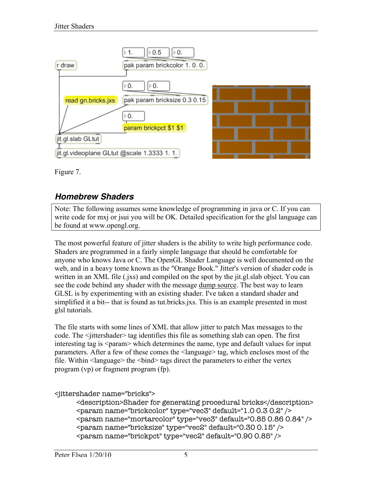

Figure 7.

### *Homebrew Shaders*

Note: The following assumes some knowledge of programming in java or C. If you can write code for mxj or jsui you will be OK. Detailed specification for the glsl language can be found at www.opengl.org.

The most powerful feature of jitter shaders is the ability to write high performance code. Shaders are programmed in a fairly simple language that should be comfortable for anyone who knows Java or C. The OpenGL Shader Language is well documented on the web, and in a heavy tome known as the "Orange Book." Jitter's version of shader code is written in an XML file (.jxs) and compiled on the spot by the jit.gl.slab object. You can see the code behind any shader with the message dump source. The best way to learn GLSL is by experimenting with an existing shader. I've taken a standard shader and simplified it a bit-- that is found as tut.bricks.jxs. This is an example presented in most glsl tutorials.

The file starts with some lines of XML that allow jitter to patch Max messages to the code. The <jittershader> tag identifies this file as something slab can open. The first interesting tag is <param> which determines the name, type and default values for input parameters. After a few of these comes the <language> tag, which encloses most of the file. Within <language> the <br/>shind> tags direct the parameters to either the vertex program (vp) or fragment program (fp).

```
<jittershader name="bricks">
```

```
<description>Shader for generating procedural bricks</description>
<param name="brickcolor" type="vec3" default="1.0 0.3 0.2" />
<param name="mortarcolor" type="vec3" default="0.85 0.86 0.84" />
<param name="bricksize" type="vec2" default="0.30 0.15" />
<param name="brickpct" type="vec2" default="0.90 0.85" />
```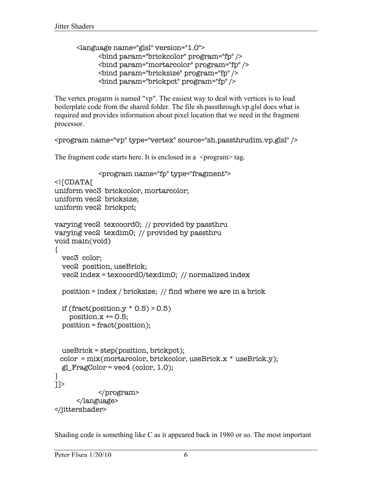```
<language name="glsl" version="1.0">
      <bind param="brickcolor" program="fp" />
      <bind param="mortarcolor" program="fp" />
      <bind param="bricksize" program="fp" />
      <bind param="brickpct" program="fp" />
```
The vertex progarm is named "vp". The easiest way to deal with vertices is to load boilerplate code from the shared folder. The file sh.passthrough.vp.glsl does what is required and provides information about pixel location that we need in the fragment processor.

```
<program name="vp" type="vertex" source="sh.passthrudim.vp.glsl" />
```
The fragment code starts here. It is enclosed in a  $\leq$  program $\geq$  tag.

```
<program name="fp" type="fragment">
<![CDATA[
uniform vec3 brickcolor, mortarcolor;
uniform vec2 bricksize;
uniform vec2 brickpct;
varying vec2 texcoord0; // provided by passthru
varying vec2 texdim0; // provided by passthru
void main(void)
{
  vec3 color;
  vec2 position, useBrick;
   vec2 index = texcoord0/texdim0; // normalized index
   position = index / bricksize; // find where we are in a brick
  if (fract(position.y * 0.5) > 0.5)
    position.x += 0.5;
   position = fract(position);
  useBrick = step(position, brickpct);
 color = mix(mortarcolor, brickcolor, useBrick.x * useBrick.y);gl_FragColor = vec4 (color, 1.0);}
]]>
            </program>
      </language>
</jittershader>
```
Shading code is something like C as it appeared back in 1980 or so. The most important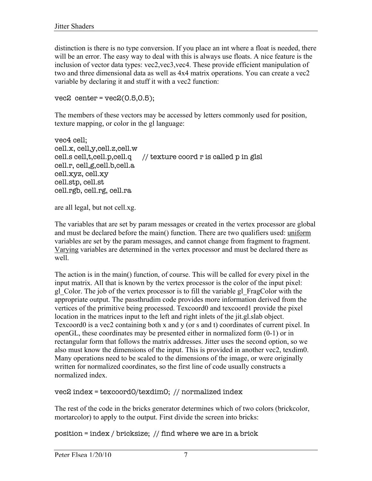distinction is there is no type conversion. If you place an int where a float is needed, there will be an error. The easy way to deal with this is always use floats. A nice feature is the inclusion of vector data types: vec2,vec3,vec4. These provide efficient manipulation of two and three dimensional data as well as 4x4 matrix operations. You can create a vec2 variable by declaring it and stuff it with a vec2 function:

```
vec2 center = vec2(0.5, 0.5);
```
The members of these vectors may be accessed by letters commonly used for position, texture mapping, or color in the gl language:

```
vec4 cell;
cell.x, cell,y,cell.z,cell.w
cell.s cell,t,cell.p,cell.q // texture coord r is called p in glsl
cell.r, cell,g,cell.b,cell.a
cell.xyz, cell.xy
cell.stp, cell.st
cell.rgb, cell.rg, cell.ra
```

```
are all legal, but not cell.xg.
```
The variables that are set by param messages or created in the vertex processor are global and must be declared before the main() function. There are two qualifiers used: uniform variables are set by the param messages, and cannot change from fragment to fragment. Varying variables are determined in the vertex processor and must be declared there as well.

The action is in the main() function, of course. This will be called for every pixel in the input matrix. All that is known by the vertex processor is the color of the input pixel: gl\_Color. The job of the vertex processor is to fill the variable gl\_FragColor with the appropriate output. The passthrudim code provides more information derived from the vertices of the primitive being processed. Texcoord0 and texcoord1 provide the pixel location in the matrices input to the left and right inlets of the jit.gl.slab object. Texcoord0 is a vec2 containing both x and y (or s and t) coordinates of current pixel. In openGL, these coordinates may be presented either in normalized form (0-1) or in rectangular form that follows the matrix addresses. Jitter uses the second option, so we also must know the dimensions of the input. This is provided in another vec2, texdim0. Many operations need to be scaled to the dimensions of the image, or were originally written for normalized coordinates, so the first line of code usually constructs a normalized index.

vec2 index = texcoord0/texdim0; // normalized index

The rest of the code in the bricks generator determines which of two colors (brickcolor, mortarcolor) to apply to the output. First divide the screen into bricks:

position = index / bricksize; // find where we are in a brick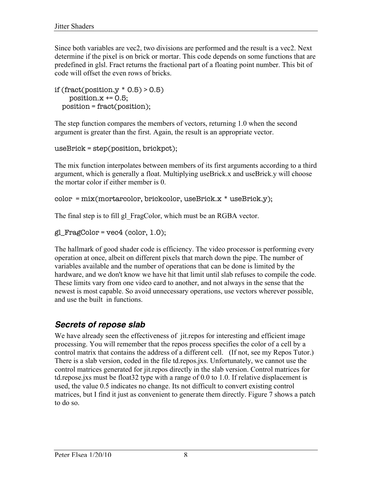Since both variables are vec2, two divisions are performed and the result is a vec2. Next determine if the pixel is on brick or mortar. This code depends on some functions that are predefined in glsl. Fract returns the fractional part of a floating point number. This bit of code will offset the even rows of bricks.

```
if (fract(position.y * 0.5) > 0.5)
    position.x = 0.5;
   position = fract(position);
```
The step function compares the members of vectors, returning 1.0 when the second argument is greater than the first. Again, the result is an appropriate vector.

```
useBrick = step(position, brickpct);
```
The mix function interpolates between members of its first arguments according to a third argument, which is generally a float. Multiplying useBrick.x and useBrick.y will choose the mortar color if either member is 0.

 $color = mix(mortarcolor, brickcolor,useBrick.x * useBrick.y);$ 

The final step is to fill gl\_FragColor, which must be an RGBA vector.

 $gl_FragColor = vec4 (color, 1.0);$ 

The hallmark of good shader code is efficiency. The video processor is performing every operation at once, albeit on different pixels that march down the pipe. The number of variables available and the number of operations that can be done is limited by the hardware, and we don't know we have hit that limit until slab refuses to compile the code. These limits vary from one video card to another, and not always in the sense that the newest is most capable. So avoid unnecessary operations, use vectors wherever possible, and use the built in functions.

### *Secrets of repose slab*

We have already seen the effectiveness of jit.repos for interesting and efficient image processing. You will remember that the repos process specifies the color of a cell by a control matrix that contains the address of a different cell. (If not, see my Repos Tutor.) There is a slab version, coded in the file td.repos.jxs. Unfortunately, we cannot use the control matrices generated for jit.repos directly in the slab version. Control matrices for td.repose.jxs must be float32 type with a range of 0.0 to 1.0. If relative displacement is used, the value 0.5 indicates no change. Its not difficult to convert existing control matrices, but I find it just as convenient to generate them directly. Figure 7 shows a patch to do so.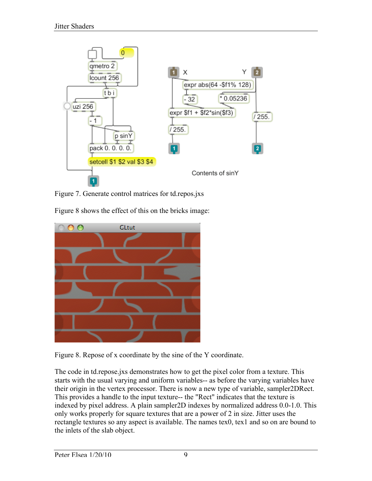

Figure 7. Generate control matrices for td.repos.jxs



Figure 8 shows the effect of this on the bricks image:

Figure 8. Repose of x coordinate by the sine of the Y coordinate.

The code in td.repose.jxs demonstrates how to get the pixel color from a texture. This starts with the usual varying and uniform variables-- as before the varying variables have their origin in the vertex processor. There is now a new type of variable, sampler2DRect. This provides a handle to the input texture-- the "Rect" indicates that the texture is indexed by pixel address. A plain sampler2D indexes by normalized address 0.0-1.0. This only works properly for square textures that are a power of 2 in size. Jitter uses the rectangle textures so any aspect is available. The names tex0, tex1 and so on are bound to the inlets of the slab object.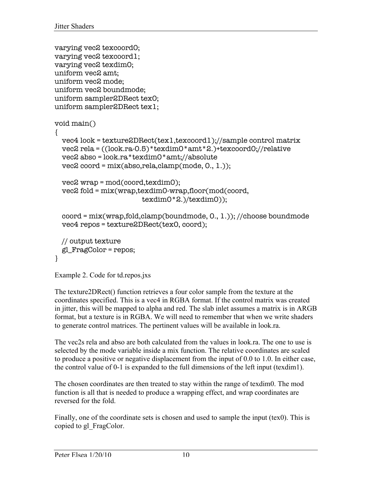```
varying vec2 texcoord0;
varying vec2 texcoord1;
varying vec2 texdim0;
uniform vec2 amt;
uniform vec2 mode;
uniform vec2 boundmode;
uniform sampler2DRect tex0;
uniform sampler2DRect tex1;
void main()
{
   vec4 look = texture2DRect(tex1,texcoord1);//sample control matrix
   vec2 rela = ((look.ra-0.5)*texdim0*amt*2.)+texcoord0;//relative
   vec2 abso = look.ra*texdim0*amt;//absolute
   vec2 coord = mix(abso,rela,clamp(mode, 0., 1.));
   vec2 wrap = mod(coord,texdim0);
   vec2 fold = mix(wrap,texdim0-wrap,floor(mod(coord, 
                        texdim0*2.)/texdim0));
   coord = mix(wrap,fold,clamp(boundmode, 0., 1.)); //choose boundmode
   vec4 repos = texture2DRect(tex0, coord);
  // output texture
  gl_FragColor = repos;
}
```

```
Example 2. Code for td.repos.jxs
```
The texture2DRect() function retrieves a four color sample from the texture at the coordinates specified. This is a vec4 in RGBA format. If the control matrix was created in jitter, this will be mapped to alpha and red. The slab inlet assumes a matrix is in ARGB format, but a texture is in RGBA. We will need to remember that when we write shaders to generate control matrices. The pertinent values will be available in look.ra.

The vec2s rela and abso are both calculated from the values in look.ra. The one to use is selected by the mode variable inside a mix function. The relative coordinates are scaled to produce a positive or negative displacement from the input of 0.0 to 1.0. In either case, the control value of 0-1 is expanded to the full dimensions of the left input (texdim1).

The chosen coordinates are then treated to stay within the range of texdim0. The mod function is all that is needed to produce a wrapping effect, and wrap coordinates are reversed for the fold.

Finally, one of the coordinate sets is chosen and used to sample the input (tex0). This is copied to gl\_FragColor.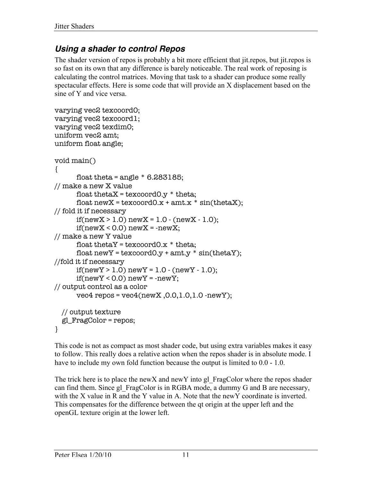# *Using a shader to control Repos*

The shader version of repos is probably a bit more efficient that jit.repos, but jit.repos is so fast on its own that any difference is barely noticeable. The real work of reposing is calculating the control matrices. Moving that task to a shader can produce some really spectacular effects. Here is some code that will provide an X displacement based on the sine of Y and vice versa.

```
varying vec2 texcoord0;
varying vec2 texcoord1;
varying vec2 texdim0;
uniform vec2 amt;
uniform float angle;
void main()
{
      float theta = angle * 6.283185;
// make a new X value
      float thetaX = texcoord 0. y * theta;
      float newX = texcoord0.x + amt.x * sin(thetaX);// fold it if necessary
      if(newX > 1.0) newX = 1.0 - (newX - 1.0);
      if(newX < 0.0) newX = newX;// make a new Y value
      float thetaY = texcoord0.x * theta;
      float newY = texcoord0.y + amt.y * sin(thetaY);//fold it if necessary
      if(newY > 1.0) newY = 1.0 - (newY - 1.0);
      if(newY < 0.0) newY = newY;// output control as a color
      vec4 repos = vec4(newX, 0.0, 1.0, 1.0 -newY);
   // output texture
   gl_FragColor = repos;
}
```
This code is not as compact as most shader code, but using extra variables makes it easy to follow. This really does a relative action when the repos shader is in absolute mode. I have to include my own fold function because the output is limited to 0.0 - 1.0.

The trick here is to place the newX and newY into gl\_FragColor where the repos shader can find them. Since gl\_FragColor is in RGBA mode, a dummy G and B are necessary, with the X value in R and the Y value in A. Note that the newY coordinate is inverted. This compensates for the difference between the qt origin at the upper left and the openGL texture origin at the lower left.